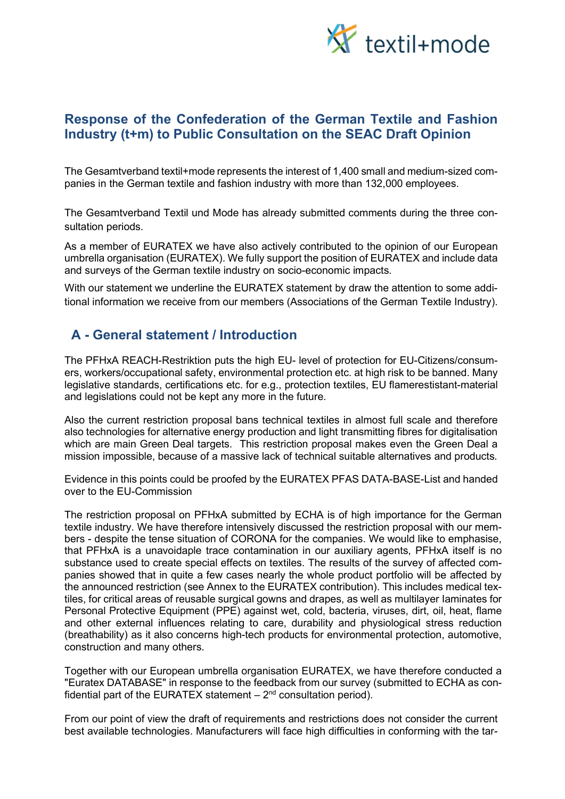

## Response of the Confederation of the German Textile and Fashion Industry (t+m) to Public Consultation on the SEAC Draft Opinion

The Gesamtverband textil+mode represents the interest of 1,400 small and medium-sized companies in the German textile and fashion industry with more than 132,000 employees.

The Gesamtverband Textil und Mode has already submitted comments during the three consultation periods.

As a member of EURATEX we have also actively contributed to the opinion of our European umbrella organisation (EURATEX). We fully support the position of EURATEX and include data and surveys of the German textile industry on socio-economic impacts.

With our statement we underline the EURATEX statement by draw the attention to some additional information we receive from our members (Associations of the German Textile Industry).

## A - General statement / Introduction

The PFHxA REACH-Restriktion puts the high EU- level of protection for EU-Citizens/consumers, workers/occupational safety, environmental protection etc. at high risk to be banned. Many legislative standards, certifications etc. for e.g., protection textiles, EU flamerestistant-material and legislations could not be kept any more in the future.

Also the current restriction proposal bans technical textiles in almost full scale and therefore also technologies for alternative energy production and light transmitting fibres for digitalisation which are main Green Deal targets. This restriction proposal makes even the Green Deal a mission impossible, because of a massive lack of technical suitable alternatives and products.

Evidence in this points could be proofed by the EURATEX PFAS DATA-BASE-List and handed over to the EU-Commission

The restriction proposal on PFHxA submitted by ECHA is of high importance for the German textile industry. We have therefore intensively discussed the restriction proposal with our members - despite the tense situation of CORONA for the companies. We would like to emphasise, that PFHxA is a unavoidaple trace contamination in our auxiliary agents, PFHxA itself is no substance used to create special effects on textiles. The results of the survey of affected companies showed that in quite a few cases nearly the whole product portfolio will be affected by the announced restriction (see Annex to the EURATEX contribution). This includes medical textiles, for critical areas of reusable surgical gowns and drapes, as well as multilayer Iaminates for Personal Protective Equipment (PPE) against wet, cold, bacteria, viruses, dirt, oil, heat, flame and other external influences relating to care, durability and physiological stress reduction (breathability) as it also concerns high-tech products for environmental protection, automotive, construction and many others.

Together with our European umbrella organisation EURATEX, we have therefore conducted a "Euratex DATABASE" in response to the feedback from our survey (submitted to ECHA as confidential part of the EURATEX statement  $-2<sup>nd</sup>$  consultation period).

From our point of view the draft of requirements and restrictions does not consider the current best available technologies. Manufacturers will face high difficulties in conforming with the tar-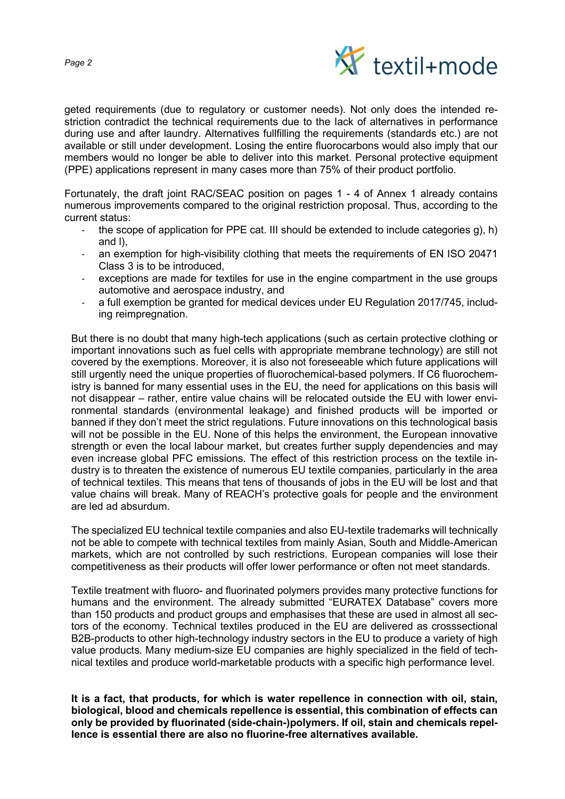

geted requirements (due to regulatory or customer needs). Not only does the intended restriction contradict the technical requirements due to the Iack of alternatives in performance during use and after laundry. Alternatives fullfilling the requirements (standards etc.) are not available or still under development. Losing the entire fluorocarbons would also imply that our members would no Ionger be able to deliver into this market. Personal protective equipment (PPE) applications represent in many cases more than 75% of their product portfolio.

Fortunately, the draft joint RAC/SEAC position on pages 1 - 4 of Annex 1 already contains numerous improvements compared to the original restriction proposal. Thus, according to the current status:

- the scope of application for PPE cat. III should be extended to include categories g), h) and l),
- an exemption for high-visibility clothing that meets the requirements of EN ISO 20471 Class 3 is to be introduced,
- exceptions are made for textiles for use in the engine compartment in the use groups automotive and aerospace industry, and
- a full exemption be granted for medical devices under EU Regulation 2017/745, including reimpregnation.

But there is no doubt that many high-tech applications (such as certain protective clothing or important innovations such as fuel cells with appropriate membrane technology) are still not covered by the exemptions. Moreover, it is also not foreseeable which future applications will still urgently need the unique properties of fluorochemical-based polymers. If C6 fluorochemistry is banned for many essential uses in the EU, the need for applications on this basis will not disappear – rather, entire value chains will be relocated outside the EU with lower environmental standards (environmental leakage) and finished products will be imported or banned if they don't meet the strict regulations. Future innovations on this technological basis will not be possible in the EU. None of this helps the environment, the European innovative strength or even the local labour market, but creates further supply dependencies and may even increase global PFC emissions. The effect of this restriction process on the textile industry is to threaten the existence of numerous EU textile companies, particularly in the area of technical textiles. This means that tens of thousands of jobs in the EU will be lost and that value chains will break. Many of REACH's protective goals for people and the environment are led ad absurdum.

The specialized EU technical textile companies and also EU-textile trademarks will technically not be able to compete with technical textiles from mainly Asian, South and Middle-American markets, which are not controlled by such restrictions. European companies will lose their competitiveness as their products will offer lower performance or often not meet standards.

Textile treatment with fluoro- and fluorinated polymers provides many protective functions for humans and the environment. The already submitted "EURATEX Database" covers more than 150 products and product groups and emphasises that these are used in almost all sectors of the economy. Technical textiles produced in the EU are delivered as crosssectional B2B-products to other high-technology industry sectors in the EU to produce a variety of high value products. Many medium-size EU companies are highly specialized in the field of technical textiles and produce world-marketable products with a specific high performance Ievel.

It is a fact, that products, for which is water repellence in connection with oil, stain, biological, blood and chemicals repellence is essential, this combination of effects can only be provided by fluorinated (side-chain-)polymers. If oil, stain and chemicals repellence is essential there are also no fluorine-free alternatives available.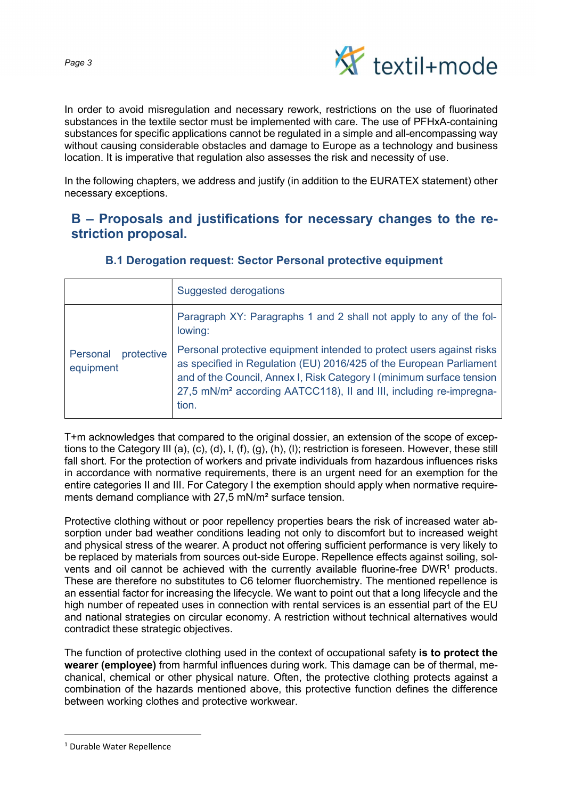

In order to avoid misregulation and necessary rework, restrictions on the use of fluorinated substances in the textile sector must be implemented with care. The use of PFHxA-containing substances for specific applications cannot be regulated in a simple and all-encompassing way without causing considerable obstacles and damage to Europe as a technology and business location. It is imperative that regulation also assesses the risk and necessity of use.

In the following chapters, we address and justify (in addition to the EURATEX statement) other necessary exceptions.

# B – Proposals and justifications for necessary changes to the restriction proposal.

|                                     | <b>Suggested derogations</b>                                                                                                                                                                                                                                                                                     |
|-------------------------------------|------------------------------------------------------------------------------------------------------------------------------------------------------------------------------------------------------------------------------------------------------------------------------------------------------------------|
| protective<br>Personal<br>equipment | Paragraph XY: Paragraphs 1 and 2 shall not apply to any of the fol-<br>lowing:                                                                                                                                                                                                                                   |
|                                     | Personal protective equipment intended to protect users against risks<br>as specified in Regulation (EU) 2016/425 of the European Parliament<br>and of the Council, Annex I, Risk Category I (minimum surface tension<br>27,5 mN/m <sup>2</sup> according AATCC118), II and III, including re-impregna-<br>tion. |

## B.1 Derogation request: Sector Personal protective equipment

T+m acknowledges that compared to the original dossier, an extension of the scope of exceptions to the Category III (a), (c), (d), I, (f), (g), (h), (l); restriction is foreseen. However, these still fall short. For the protection of workers and private individuals from hazardous influences risks in accordance with normative requirements, there is an urgent need for an exemption for the entire categories II and III. For Category I the exemption should apply when normative requirements demand compliance with 27,5 mN/m² surface tension.

Protective clothing without or poor repellency properties bears the risk of increased water absorption under bad weather conditions leading not only to discomfort but to increased weight and physical stress of the wearer. A product not offering sufficient performance is very likely to be replaced by materials from sources out-side Europe. Repellence effects against soiling, solvents and oil cannot be achieved with the currently available fluorine-free DWR<sup>1</sup> products. These are therefore no substitutes to C6 telomer fluorchemistry. The mentioned repellence is an essential factor for increasing the lifecycle. We want to point out that a long lifecycle and the high number of repeated uses in connection with rental services is an essential part of the EU and national strategies on circular economy. A restriction without technical alternatives would contradict these strategic objectives.

The function of protective clothing used in the context of occupational safety is to protect the wearer (employee) from harmful influences during work. This damage can be of thermal, mechanical, chemical or other physical nature. Often, the protective clothing protects against a combination of the hazards mentioned above, this protective function defines the difference between working clothes and protective workwear.

<sup>&</sup>lt;sup>1</sup> Durable Water Repellence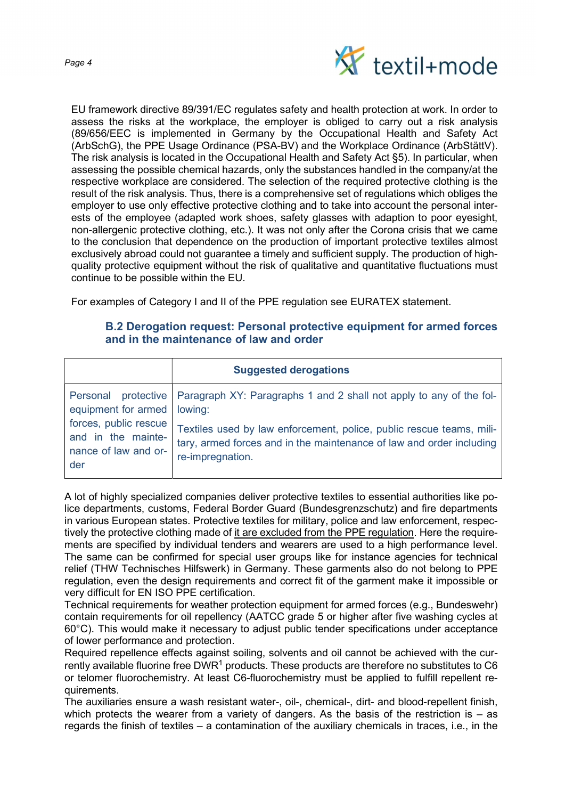

EU framework directive 89/391/EC regulates safety and health protection at work. In order to assess the risks at the workplace, the employer is obliged to carry out a risk analysis (89/656/EEC is implemented in Germany by the Occupational Health and Safety Act (ArbSchG), the PPE Usage Ordinance (PSA-BV) and the Workplace Ordinance (ArbStättV). The risk analysis is located in the Occupational Health and Safety Act §5). In particular, when assessing the possible chemical hazards, only the substances handled in the company/at the respective workplace are considered. The selection of the required protective clothing is the result of the risk analysis. Thus, there is a comprehensive set of regulations which obliges the employer to use only effective protective clothing and to take into account the personal interests of the employee (adapted work shoes, safety glasses with adaption to poor eyesight, non-allergenic protective clothing, etc.). It was not only after the Corona crisis that we came to the conclusion that dependence on the production of important protective textiles almost exclusively abroad could not guarantee a timely and sufficient supply. The production of highquality protective equipment without the risk of qualitative and quantitative fluctuations must continue to be possible within the EU.

For examples of Category I and II of the PPE regulation see EURATEX statement.

### B.2 Derogation request: Personal protective equipment for armed forces and in the maintenance of law and order

|                       | <b>Suggested derogations</b>                                                              |
|-----------------------|-------------------------------------------------------------------------------------------|
| equipment for armed   | Personal protective   Paragraph XY: Paragraphs 1 and 2 shall not apply to any of the fol- |
| forces, public rescue | lowing:                                                                                   |
| and in the mainte-    | Textiles used by law enforcement, police, public rescue teams, mili-                      |
| nance of law and or-  | tary, armed forces and in the maintenance of law and order including                      |
| der                   | re-impregnation.                                                                          |

A lot of highly specialized companies deliver protective textiles to essential authorities like police departments, customs, Federal Border Guard (Bundesgrenzschutz) and fire departments in various European states. Protective textiles for military, police and law enforcement, respectively the protective clothing made of it are excluded from the PPE regulation. Here the requirements are specified by individual tenders and wearers are used to a high performance Ievel. The same can be confirmed for special user groups like for instance agencies for technical relief (THW Technisches Hilfswerk) in Germany. These garments also do not belong to PPE regulation, even the design requirements and correct fit of the garment make it impossible or very difficult for EN ISO PPE certification.

Technical requirements for weather protection equipment for armed forces (e.g., Bundeswehr) contain requirements for oil repellency (AATCC grade 5 or higher after five washing cycles at 60°C). This would make it necessary to adjust public tender specifications under acceptance of lower performance and protection.

Required repellence effects against soiling, solvents and oil cannot be achieved with the currently available fluorine free DWR $^{\rm 1}$  products. These products are therefore no substitutes to C6 or telomer fluorochemistry. At least C6-fluorochemistry must be applied to fulfill repellent requirements.

The auxiliaries ensure a wash resistant water-, oil-, chemical-, dirt- and blood-repellent finish, which protects the wearer from a variety of dangers. As the basis of the restriction is  $-$  as regards the finish of textiles – a contamination of the auxiliary chemicals in traces, i.e., in the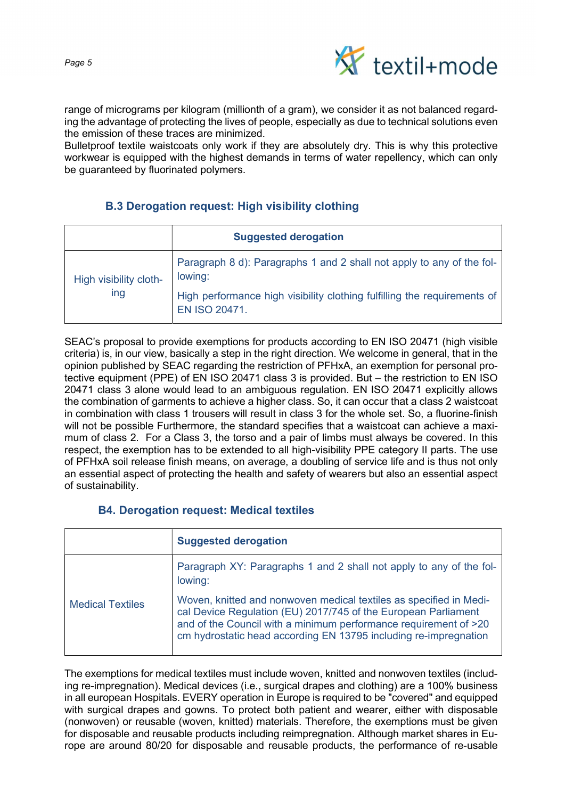

range of micrograms per kilogram (millionth of a gram), we consider it as not balanced regarding the advantage of protecting the lives of people, especially as due to technical solutions even the emission of these traces are minimized.

Bulletproof textile waistcoats only work if they are absolutely dry. This is why this protective workwear is equipped with the highest demands in terms of water repellency, which can only be guaranteed by fluorinated polymers.

### B.3 Derogation request: High visibility clothing

|                               | <b>Suggested derogation</b>                                                               |
|-------------------------------|-------------------------------------------------------------------------------------------|
| High visibility cloth-<br>ing | Paragraph 8 d): Paragraphs 1 and 2 shall not apply to any of the fol-<br>lowing:          |
|                               | High performance high visibility clothing fulfilling the requirements of<br>EN ISO 20471. |

SEAC's proposal to provide exemptions for products according to EN ISO 20471 (high visible criteria) is, in our view, basically a step in the right direction. We welcome in general, that in the opinion published by SEAC regarding the restriction of PFHxA, an exemption for personal protective equipment (PPE) of EN ISO 20471 class 3 is provided. But – the restriction to EN ISO 20471 class 3 alone would lead to an ambiguous regulation. EN ISO 20471 explicitly allows the combination of garments to achieve a higher class. So, it can occur that a class 2 waistcoat in combination with class 1 trousers will result in class 3 for the whole set. So, a fluorine-finish will not be possible Furthermore, the standard specifies that a waistcoat can achieve a maximum of class 2. For a Class 3, the torso and a pair of limbs must always be covered. In this respect, the exemption has to be extended to all high-visibility PPE category II parts. The use of PFHxA soil release finish means, on average, a doubling of service life and is thus not only an essential aspect of protecting the health and safety of wearers but also an essential aspect of sustainability.

### B4. Derogation request: Medical textiles

|                         | <b>Suggested derogation</b>                                                                                                                                                                                                                                                  |
|-------------------------|------------------------------------------------------------------------------------------------------------------------------------------------------------------------------------------------------------------------------------------------------------------------------|
| <b>Medical Textiles</b> | Paragraph XY: Paragraphs 1 and 2 shall not apply to any of the fol-<br>lowing:                                                                                                                                                                                               |
|                         | Woven, knitted and nonwoven medical textiles as specified in Medi-<br>cal Device Regulation (EU) 2017/745 of the European Parliament<br>and of the Council with a minimum performance requirement of >20<br>cm hydrostatic head according EN 13795 including re-impregnation |

The exemptions for medical textiles must include woven, knitted and nonwoven textiles (including re-impregnation). Medical devices (i.e., surgical drapes and clothing) are a 100% business in all european Hospitals. EVERY operation in Europe is required to be "covered" and equipped with surgical drapes and gowns. To protect both patient and wearer, either with disposable (nonwoven) or reusable (woven, knitted) materials. Therefore, the exemptions must be given for disposable and reusable products including reimpregnation. Although market shares in Europe are around 80/20 for disposable and reusable products, the performance of re-usable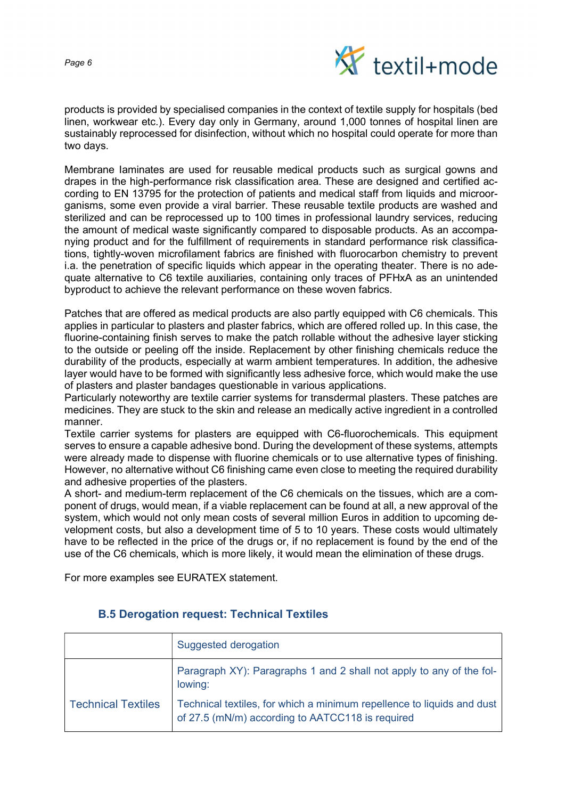

products is provided by specialised companies in the context of textile supply for hospitals (bed linen, workwear etc.). Every day only in Germany, around 1,000 tonnes of hospital linen are sustainably reprocessed for disinfection, without which no hospital could operate for more than two days.

Membrane Iaminates are used for reusable medical products such as surgical gowns and drapes in the high-performance risk classification area. These are designed and certified according to EN 13795 for the protection of patients and medical staff from liquids and microorganisms, some even provide a viral barrier. These reusable textile products are washed and sterilized and can be reprocessed up to 100 times in professional laundry services, reducing the amount of medical waste significantly compared to disposable products. As an accompanying product and for the fulfillment of requirements in standard performance risk classifications, tightly-woven microfilament fabrics are finished with fluorocarbon chemistry to prevent i.a. the penetration of specific liquids which appear in the operating theater. There is no adequate alternative to C6 textile auxiliaries, containing only traces of PFHxA as an unintended byproduct to achieve the relevant performance on these woven fabrics.

Patches that are offered as medical products are also partly equipped with C6 chemicals. This applies in particular to plasters and plaster fabrics, which are offered rolled up. In this case, the fluorine-containing finish serves to make the patch rollable without the adhesive layer sticking to the outside or peeling off the inside. Replacement by other finishing chemicals reduce the durability of the products, especially at warm ambient temperatures. In addition, the adhesive layer would have to be formed with significantly less adhesive force, which would make the use of plasters and plaster bandages questionable in various applications.

Particularly noteworthy are textile carrier systems for transdermal plasters. These patches are medicines. They are stuck to the skin and release an medically active ingredient in a controlled manner.

Textile carrier systems for plasters are equipped with C6-fluorochemicals. This equipment serves to ensure a capable adhesive bond. During the development of these systems, attempts were already made to dispense with fluorine chemicals or to use alternative types of finishing. However, no alternative without C6 finishing came even close to meeting the required durability and adhesive properties of the plasters.

A short- and medium-term replacement of the C6 chemicals on the tissues, which are a component of drugs, would mean, if a viable replacement can be found at all, a new approval of the system, which would not only mean costs of several million Euros in addition to upcoming development costs, but also a development time of 5 to 10 years. These costs would ultimately have to be reflected in the price of the drugs or, if no replacement is found by the end of the use of the C6 chemicals, which is more likely, it would mean the elimination of these drugs.

For more examples see EURATEX statement.

|                           | Suggested derogation                                                                                                       |
|---------------------------|----------------------------------------------------------------------------------------------------------------------------|
|                           | Paragraph XY): Paragraphs 1 and 2 shall not apply to any of the fol-<br>lowing:                                            |
| <b>Technical Textiles</b> | Technical textiles, for which a minimum repellence to liquids and dust<br>of 27.5 (mN/m) according to AATCC118 is required |

#### B.5 Derogation request: Technical Textiles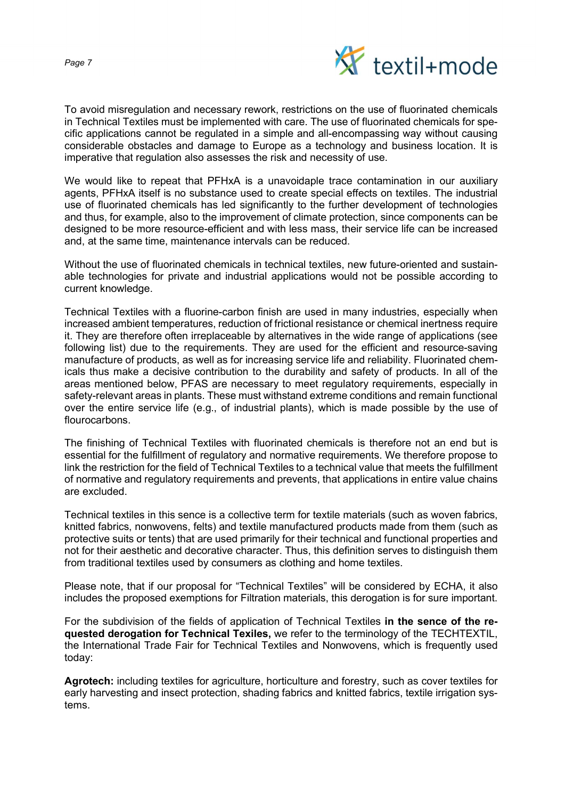Page 7



To avoid misregulation and necessary rework, restrictions on the use of fluorinated chemicals in Technical Textiles must be implemented with care. The use of fluorinated chemicals for specific applications cannot be regulated in a simple and all-encompassing way without causing considerable obstacles and damage to Europe as a technology and business location. It is imperative that regulation also assesses the risk and necessity of use.

We would like to repeat that PFHxA is a unavoidaple trace contamination in our auxiliary agents, PFHxA itself is no substance used to create special effects on textiles. The industrial use of fluorinated chemicals has led significantly to the further development of technologies and thus, for example, also to the improvement of climate protection, since components can be designed to be more resource-efficient and with less mass, their service life can be increased and, at the same time, maintenance intervals can be reduced.

Without the use of fluorinated chemicals in technical textiles, new future-oriented and sustainable technologies for private and industrial applications would not be possible according to current knowledge.

Technical Textiles with a fluorine-carbon finish are used in many industries, especially when increased ambient temperatures, reduction of frictional resistance or chemical inertness require it. They are therefore often irreplaceable by alternatives in the wide range of applications (see following list) due to the requirements. They are used for the efficient and resource-saving manufacture of products, as well as for increasing service life and reliability. Fluorinated chemicals thus make a decisive contribution to the durability and safety of products. In all of the areas mentioned below, PFAS are necessary to meet regulatory requirements, especially in safety-relevant areas in plants. These must withstand extreme conditions and remain functional over the entire service life (e.g., of industrial plants), which is made possible by the use of flourocarbons.

The finishing of Technical Textiles with fluorinated chemicals is therefore not an end but is essential for the fulfillment of regulatory and normative requirements. We therefore propose to link the restriction for the field of Technical Textiles to a technical value that meets the fulfillment of normative and regulatory requirements and prevents, that applications in entire value chains are excluded.

Technical textiles in this sence is a collective term for textile materials (such as woven fabrics, knitted fabrics, nonwovens, felts) and textile manufactured products made from them (such as protective suits or tents) that are used primarily for their technical and functional properties and not for their aesthetic and decorative character. Thus, this definition serves to distinguish them from traditional textiles used by consumers as clothing and home textiles.

Please note, that if our proposal for "Technical Textiles" will be considered by ECHA, it also includes the proposed exemptions for Filtration materials, this derogation is for sure important.

For the subdivision of the fields of application of Technical Textiles in the sence of the requested derogation for Technical Texiles, we refer to the terminology of the TECHTEXTIL, the International Trade Fair for Technical Textiles and Nonwovens, which is frequently used today:

Agrotech: including textiles for agriculture, horticulture and forestry, such as cover textiles for early harvesting and insect protection, shading fabrics and knitted fabrics, textile irrigation systems.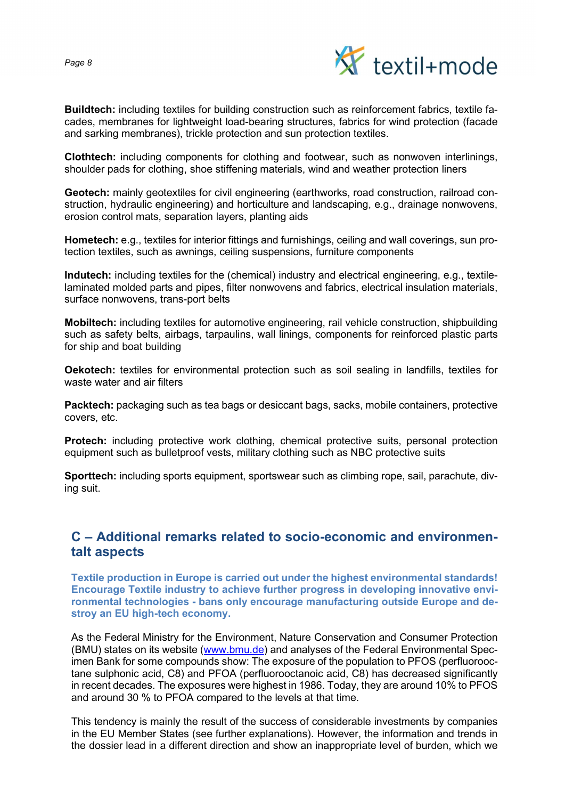

Buildtech: including textiles for building construction such as reinforcement fabrics, textile facades, membranes for lightweight load-bearing structures, fabrics for wind protection (facade and sarking membranes), trickle protection and sun protection textiles.

Clothtech: including components for clothing and footwear, such as nonwoven interlinings, shoulder pads for clothing, shoe stiffening materials, wind and weather protection liners

Geotech: mainly geotextiles for civil engineering (earthworks, road construction, railroad construction, hydraulic engineering) and horticulture and landscaping, e.g., drainage nonwovens, erosion control mats, separation layers, planting aids

Hometech: e.g., textiles for interior fittings and furnishings, ceiling and wall coverings, sun protection textiles, such as awnings, ceiling suspensions, furniture components

Indutech: including textiles for the (chemical) industry and electrical engineering, e.g., textilelaminated molded parts and pipes, filter nonwovens and fabrics, electrical insulation materials, surface nonwovens, trans-port belts

Mobiltech: including textiles for automotive engineering, rail vehicle construction, shipbuilding such as safety belts, airbags, tarpaulins, wall linings, components for reinforced plastic parts for ship and boat building

Oekotech: textiles for environmental protection such as soil sealing in landfills, textiles for waste water and air filters

Packtech: packaging such as tea bags or desiccant bags, sacks, mobile containers, protective covers, etc.

Protech: including protective work clothing, chemical protective suits, personal protection equipment such as bulletproof vests, military clothing such as NBC protective suits

Sporttech: including sports equipment, sportswear such as climbing rope, sail, parachute, diving suit.

## C – Additional remarks related to socio-economic and environmentalt aspects

Textile production in Europe is carried out under the highest environmental standards! Encourage Textile industry to achieve further progress in developing innovative environmental technologies - bans only encourage manufacturing outside Europe and destroy an EU high-tech economy.

As the Federal Ministry for the Environment, Nature Conservation and Consumer Protection (BMU) states on its website (www.bmu.de) and analyses of the Federal Environmental Specimen Bank for some compounds show: The exposure of the population to PFOS (perfluorooctane sulphonic acid, C8) and PFOA (perfluorooctanoic acid, C8) has decreased significantly in recent decades. The exposures were highest in 1986. Today, they are around 10% to PFOS and around 30 % to PFOA compared to the levels at that time.

This tendency is mainly the result of the success of considerable investments by companies in the EU Member States (see further explanations). However, the information and trends in the dossier lead in a different direction and show an inappropriate level of burden, which we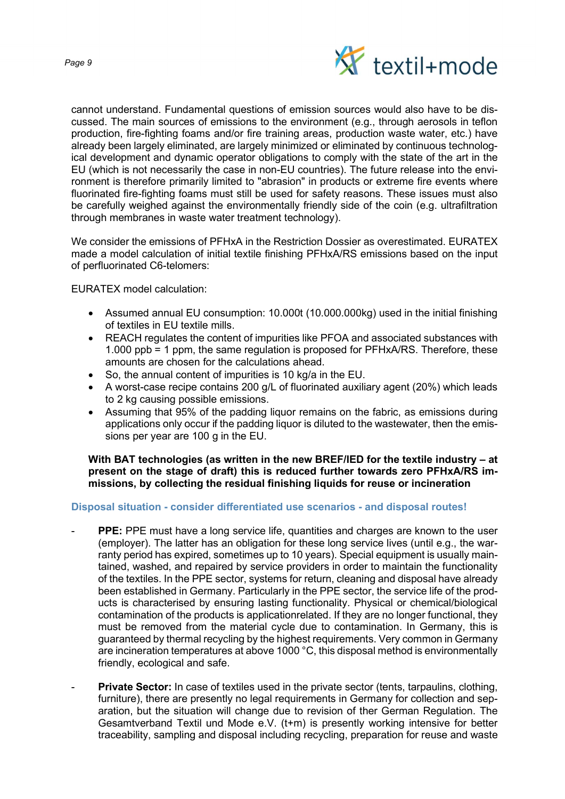

cannot understand. Fundamental questions of emission sources would also have to be discussed. The main sources of emissions to the environment (e.g., through aerosols in teflon production, fire-fighting foams and/or fire training areas, production waste water, etc.) have already been largely eliminated, are largely minimized or eliminated by continuous technological development and dynamic operator obligations to comply with the state of the art in the EU (which is not necessarily the case in non-EU countries). The future release into the environment is therefore primarily limited to "abrasion" in products or extreme fire events where fluorinated fire-fighting foams must still be used for safety reasons. These issues must also be carefully weighed against the environmentally friendly side of the coin (e.g. ultrafiltration through membranes in waste water treatment technology).

We consider the emissions of PFHxA in the Restriction Dossier as overestimated. EURATEX made a model calculation of initial textile finishing PFHxA/RS emissions based on the input of perfluorinated C6-telomers:

EURATEX model calculation:

- Assumed annual EU consumption: 10.000t (10.000.000kg) used in the initial finishing of textiles in EU textile mills.
- REACH regulates the content of impurities like PFOA and associated substances with 1.000 ppb = 1 ppm, the same regulation is proposed for PFHxA/RS. Therefore, these amounts are chosen for the calculations ahead.
- So, the annual content of impurities is 10 kg/a in the EU.
- A worst-case recipe contains 200 g/L of fluorinated auxiliary agent (20%) which leads to 2 kg causing possible emissions.
- Assuming that 95% of the padding liquor remains on the fabric, as emissions during applications only occur if the padding liquor is diluted to the wastewater, then the emissions per year are 100 g in the EU.

With BAT technologies (as written in the new BREF/IED for the textile industry – at present on the stage of draft) this is reduced further towards zero PFHxA/RS immissions, by collecting the residual finishing liquids for reuse or incineration

#### Disposal situation - consider differentiated use scenarios - and disposal routes!

- PPE: PPE must have a long service life, quantities and charges are known to the user (employer). The latter has an obligation for these long service lives (until e.g., the warranty period has expired, sometimes up to 10 years). Special equipment is usually maintained, washed, and repaired by service providers in order to maintain the functionality of the textiles. In the PPE sector, systems for return, cleaning and disposal have already been established in Germany. Particularly in the PPE sector, the service life of the products is characterised by ensuring lasting functionality. Physical or chemical/biological contamination of the products is applicationrelated. If they are no longer functional, they must be removed from the material cycle due to contamination. In Germany, this is guaranteed by thermal recycling by the highest requirements. Very common in Germany are incineration temperatures at above 1000 °C, this disposal method is environmentally friendly, ecological and safe.
- Private Sector: In case of textiles used in the private sector (tents, tarpaulins, clothing, furniture), there are presently no legal requirements in Germany for collection and separation, but the situation will change due to revision of ther German Regulation. The Gesamtverband Textil und Mode e.V. (t+m) is presently working intensive for better traceability, sampling and disposal including recycling, preparation for reuse and waste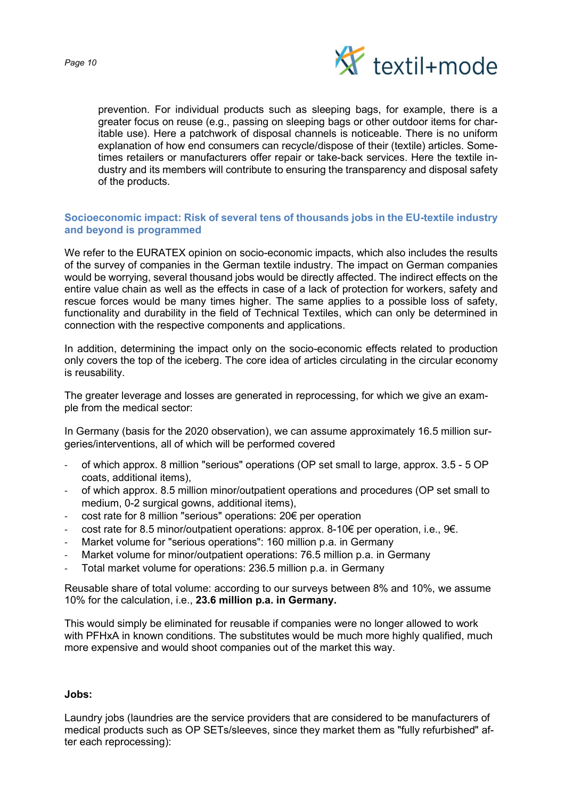

prevention. For individual products such as sleeping bags, for example, there is a greater focus on reuse (e.g., passing on sleeping bags or other outdoor items for charitable use). Here a patchwork of disposal channels is noticeable. There is no uniform explanation of how end consumers can recycle/dispose of their (textile) articles. Sometimes retailers or manufacturers offer repair or take-back services. Here the textile industry and its members will contribute to ensuring the transparency and disposal safety of the products.

#### Socioeconomic impact: Risk of several tens of thousands jobs in the EU-textile industry and beyond is programmed

We refer to the EURATEX opinion on socio-economic impacts, which also includes the results of the survey of companies in the German textile industry. The impact on German companies would be worrying, several thousand jobs would be directly affected. The indirect effects on the entire value chain as well as the effects in case of a lack of protection for workers, safety and rescue forces would be many times higher. The same applies to a possible loss of safety. functionality and durability in the field of Technical Textiles, which can only be determined in connection with the respective components and applications.

In addition, determining the impact only on the socio-economic effects related to production only covers the top of the iceberg. The core idea of articles circulating in the circular economy is reusability.

The greater leverage and losses are generated in reprocessing, for which we give an example from the medical sector:

In Germany (basis for the 2020 observation), we can assume approximately 16.5 million surgeries/interventions, all of which will be performed covered

- of which approx. 8 million "serious" operations (OP set small to large, approx. 3.5 5 OP coats, additional items),
- of which approx. 8.5 million minor/outpatient operations and procedures (OP set small to medium, 0-2 surgical gowns, additional items),
- cost rate for 8 million "serious" operations: 20€ per operation
- cost rate for 8.5 minor/outpatient operations: approx. 8-10€ per operation, i.e.,  $9\epsilon$ .
- Market volume for "serious operations": 160 million p.a. in Germany
- Market volume for minor/outpatient operations: 76.5 million p.a. in Germany
- Total market volume for operations: 236.5 million p.a. in Germany

Reusable share of total volume: according to our surveys between 8% and 10%, we assume 10% for the calculation, i.e., 23.6 million p.a. in Germany.

This would simply be eliminated for reusable if companies were no longer allowed to work with PFHxA in known conditions. The substitutes would be much more highly qualified, much more expensive and would shoot companies out of the market this way.

#### Jobs:

Laundry jobs (laundries are the service providers that are considered to be manufacturers of medical products such as OP SETs/sleeves, since they market them as "fully refurbished" after each reprocessing):